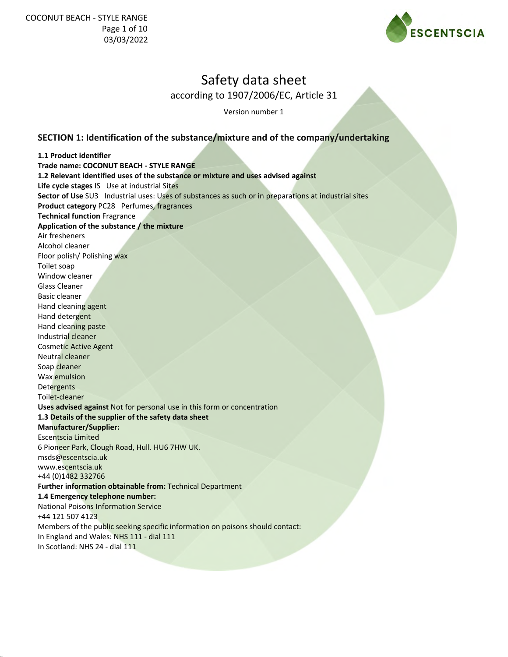

according to 1907/2006/EC, Article 31

Version number 1

## **SECTION 1: Identification of the substance/mixture and of the company/undertaking**

**1.1 Product identifier Trade name: COCONUT BEACH - STYLE RANGE 1.2 Relevant identified uses of the substance or mixture and uses advised against Life cycle stages** IS Use at industrial Sites **Sector of Use** SU3 Industrial uses: Uses of substances as such or in preparations at industrial sites **Product category** PC28 Perfumes, fragrances **Technical function** Fragrance **Application of the substance / the mixture** Air fresheners Alcohol cleaner Floor polish/ Polishing wax Toilet soap Window cleaner Glass Cleaner Basic cleaner Hand cleaning agent Hand detergent Hand cleaning paste Industrial cleaner Cosmetic Active Agent Neutral cleaner Soap cleaner Wax emulsion **Detergents** Toilet-cleaner **Uses advised against** Not for personal use in this form or concentration **1.3 Details of the supplier of the safety data sheet Manufacturer/Supplier:** Escentscia Limited 6 Pioneer Park, Clough Road, Hull. HU6 7HW UK. msds@escentscia.uk www.escentscia.uk +44 (0)1482 332766 **Further information obtainable from:** Technical Department **1.4 Emergency telephone number:** National Poisons Information Service +44 121 507 4123 Members of the public seeking specific information on poisons should contact: In England and Wales: NHS 111 - dial 111 In Scotland: NHS 24 - dial 111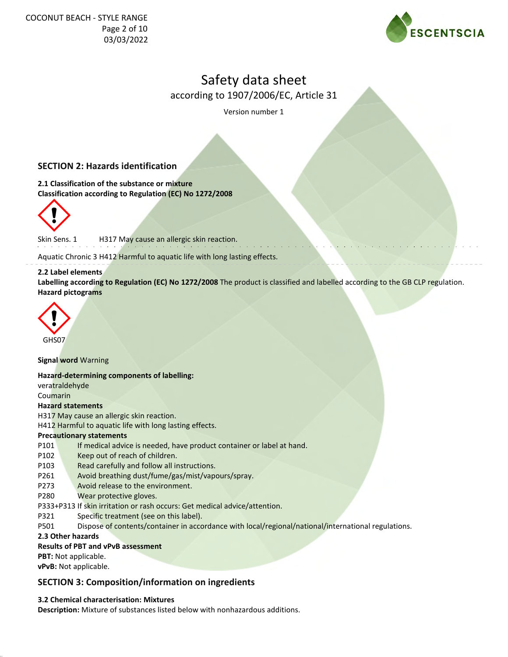

according to 1907/2006/EC, Article 31

Version number 1

## **SECTION 2: Hazards identification**

**2.1 Classification of the substance or mixture Classification according to Regulation (EC) No 1272/2008**



Skin Sens. 1 H317 May cause an allergic skin reaction.

Aquatic Chronic 3 H412 Harmful to aquatic life with long lasting effects.

#### **2.2 Label elements**

**Labelling according to Regulation (EC) No 1272/2008** The product is classified and labelled according to the GB CLP regulation. **Hazard pictograms**



**Signal word** Warning

**Hazard-determining components of labelling:**

veratraldehyde Coumarin

## **Hazard statements**

H317 May cause an allergic skin reaction.

H412 Harmful to aquatic life with long lasting effects.

## **Precautionary statements**

- P101 If medical advice is needed, have product container or label at hand.
- P102 Keep out of reach of children.
- P103 Read carefully and follow all instructions.
- P261 Avoid breathing dust/fume/gas/mist/vapours/spray.
- P273 Avoid release to the environment.
- P280 Wear protective gloves.
- P333+P313 If skin irritation or rash occurs: Get medical advice/attention.
- P321 Specific treatment (see on this label).
- P501 Dispose of contents/container in accordance with local/regional/national/international regulations.

**2.3 Other hazards**

## **Results of PBT and vPvB assessment**

**PBT:** Not applicable.

**vPvB:** Not applicable.

## **SECTION 3: Composition/information on ingredients**

## **3.2 Chemical characterisation: Mixtures**

**Description:** Mixture of substances listed below with nonhazardous additions.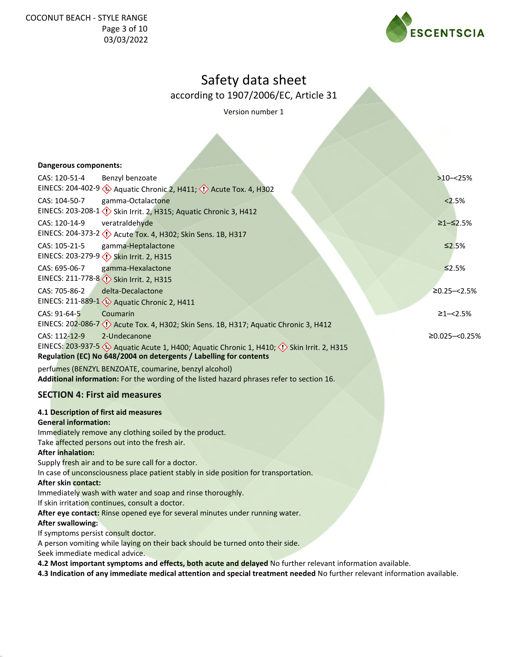

according to 1907/2006/EC, Article 31

Version number 1

| Dangerous components:                                                                                                                      |                  |
|--------------------------------------------------------------------------------------------------------------------------------------------|------------------|
| CAS: 120-51-4<br>Benzyl benzoate                                                                                                           | $>10 - 25%$      |
| EINECS: 204-402-9 (4) Aquatic Chronic 2, H411; (1) Acute Tox. 4, H302                                                                      |                  |
| CAS: 104-50-7<br>gamma-Octalactone                                                                                                         | 2.5%             |
| EINECS: 203-208-1 < <a>(</a> Skin Irrit. 2, H315; Aquatic Chronic 3, H412                                                                  |                  |
| CAS: 120-14-9<br>veratraldehyde                                                                                                            | ≥1–≤2.5%         |
| EINECS: 204-373-2 << < < Acute Tox. 4, H302; Skin Sens. 1B, H317                                                                           |                  |
| CAS: 105-21-5<br>gamma-Heptalactone                                                                                                        | $\leq 2.5\%$     |
|                                                                                                                                            |                  |
| CAS: 695-06-7<br>gamma-Hexalactone                                                                                                         | $\leq 2.5\%$     |
| EINECS: 211-778-8 Skin Irrit. 2, H315                                                                                                      |                  |
| delta-Decalactone<br>CAS: 705-86-2                                                                                                         | $≥0.25 - < 2.5%$ |
| EINECS: 211-889-1 & Aquatic Chronic 2, H411                                                                                                |                  |
| CAS: 91-64-5<br>Coumarin                                                                                                                   | $≥1 - < 2.5%$    |
| EINECS: 202-086-7 < <a> <a> Acute Tox. 4, H302; Skin Sens. 1B, H317; Aquatic Chronic 3, H412</a></a>                                       |                  |
| 2-Undecanone<br>CAS: 112-12-9                                                                                                              | ≥0.025 -< 0.25%  |
| EINECS: 203-937-5 $\leftrightarrow$ Aquatic Acute 1, H400; Aquatic Chronic 1, H410; $\leftrightarrow$ Skin Irrit. 2, H315                  |                  |
| Regulation (EC) No 648/2004 on detergents / Labelling for contents                                                                         |                  |
| perfumes (BENZYL BENZOATE, coumarine, benzyl alcohol)                                                                                      |                  |
| Additional information: For the wording of the listed hazard phrases refer to section 16.                                                  |                  |
| <b>SECTION 4: First aid measures</b>                                                                                                       |                  |
|                                                                                                                                            |                  |
| 4.1 Description of first aid measures                                                                                                      |                  |
| <b>General information:</b>                                                                                                                |                  |
| Immediately remove any clothing soiled by the product.                                                                                     |                  |
| Take affected persons out into the fresh air.                                                                                              |                  |
| <b>After inhalation:</b>                                                                                                                   |                  |
| Supply fresh air and to be sure call for a doctor.<br>In case of unconsciousness place patient stably in side position for transportation. |                  |
| After skin contact:                                                                                                                        |                  |
| Immediately wash with water and soap and rinse thoroughly.                                                                                 |                  |
| If skin irritation continues, consult a doctor.                                                                                            |                  |
| After eye contact: Rinse opened eye for several minutes under running water.                                                               |                  |
| <b>After swallowing:</b>                                                                                                                   |                  |
| If symptoms persist consult doctor.                                                                                                        |                  |
| A person vomiting while laying on their back should be turned onto their side.                                                             |                  |
| Seek immediate medical advice.                                                                                                             |                  |
| 4.2 Most important symptoms and effects, both acute and delayed No further relevant information available.                                 |                  |
| 4.3 Indication of any immediate medical attention and special treatment needed No further relevant information available.                  |                  |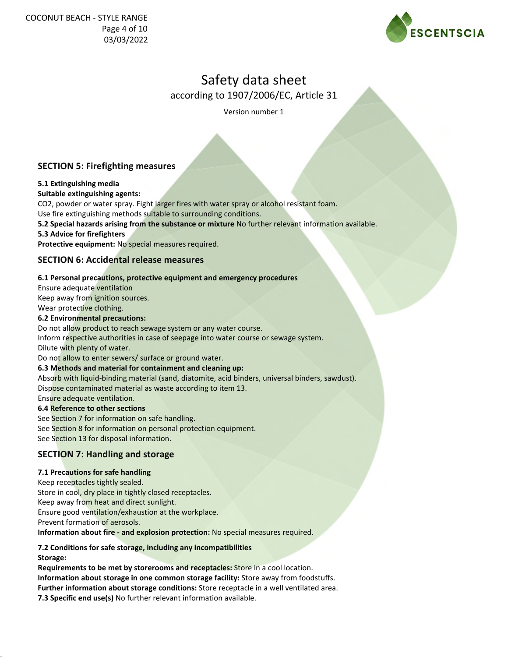

according to 1907/2006/EC, Article 31

Version number 1

## **SECTION 5: Firefighting measures**

## **5.1 Extinguishing media**

## **Suitable extinguishing agents:**

CO2, powder or water spray. Fight larger fires with water spray or alcohol resistant foam.

Use fire extinguishing methods suitable to surrounding conditions.

**5.2 Special hazards arising from the substance or mixture** No further relevant information available.

**5.3 Advice for firefighters**

**Protective equipment:** No special measures required.

## **SECTION 6: Accidental release measures**

## **6.1 Personal precautions, protective equipment and emergency procedures**

Ensure adequate ventilation Keep away from ignition sources.

Wear protective clothing.

## **6.2 Environmental precautions:**

Do not allow product to reach sewage system or any water course.

Inform respective authorities in case of seepage into water course or sewage system. Dilute with plenty of water.

Do not allow to enter sewers/ surface or ground water.

## **6.3 Methods and material for containment and cleaning up:**

Absorb with liquid-binding material (sand, diatomite, acid binders, universal binders, sawdust).

Dispose contaminated material as waste according to item 13.

Ensure adequate ventilation.

## **6.4 Reference to other sections**

See Section 7 for information on safe handling. See Section 8 for information on personal protection equipment. See Section 13 for disposal information.

## **SECTION 7: Handling and storage**

## **7.1 Precautions for safe handling**

Keep receptacles tightly sealed. Store in cool, dry place in tightly closed receptacles. Keep away from heat and direct sunlight. Ensure good ventilation/exhaustion at the workplace. Prevent formation of aerosols.

**Information about fire - and explosion protection:** No special measures required.

## **7.2 Conditions for safe storage, including any incompatibilities**

**Storage:**

**Requirements to be met by storerooms and receptacles:** Store in a cool location. **Information about storage in one common storage facility:** Store away from foodstuffs. **Further information about storage conditions:** Store receptacle in a well ventilated area. **7.3 Specific end use(s)** No further relevant information available.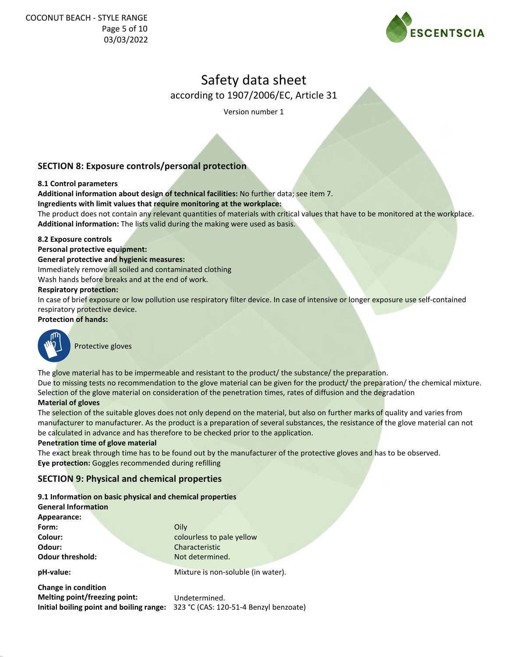

according to 1907/2006/EC, Article 31

Version number 1

## **SECTION 8: Exposure controls/personal protection**

## **8.1 Control parameters**

**Additional information about design of technical facilities:** No further data; see item 7.

**Ingredients with limit values that require monitoring at the workplace:**

The product does not contain any relevant quantities of materials with critical values that have to be monitored at the workplace. **Additional information:** The lists valid during the making were used as basis.

## **8.2 Exposure controls**

**Personal protective equipment:**

## **General protective and hygienic measures:**

Immediately remove all soiled and contaminated clothing

Wash hands before breaks and at the end of work.

## **Respiratory protection:**

In case of brief exposure or low pollution use respiratory filter device. In case of intensive or longer exposure use self-contained respiratory protective device.

## **Protection of hands:**



Protective gloves

The glove material has to be impermeable and resistant to the product/ the substance/ the preparation.

Due to missing tests no recommendation to the glove material can be given for the product/ the preparation/ the chemical mixture. Selection of the glove material on consideration of the penetration times, rates of diffusion and the degradation

## **Material of gloves**

The selection of the suitable gloves does not only depend on the material, but also on further marks of quality and varies from manufacturer to manufacturer. As the product is a preparation of several substances, the resistance of the glove material can not be calculated in advance and has therefore to be checked prior to the application.

## **Penetration time of glove material**

The exact break through time has to be found out by the manufacturer of the protective gloves and has to be observed. **Eye protection:** Goggles recommended during refilling

## **SECTION 9: Physical and chemical properties**

|                            | 9.1 Information on basic physical and chemical properties |
|----------------------------|-----------------------------------------------------------|
| <b>General Information</b> |                                                           |
| Appearance:                |                                                           |
| Form:                      | Oilv                                                      |

| rorm:                      | UIIV                               |  |
|----------------------------|------------------------------------|--|
| Colour:                    | colourless to pale yellow          |  |
| Odour:                     | Characteristic                     |  |
| Odour threshold:           | Not determined.                    |  |
| pH-value:                  | Mixture is non-soluble (in water). |  |
| <b>Change in condition</b> |                                    |  |

**Melting point/freezing point: Initial boiling point and boiling range:** 323 °C (CAS: 120-51-4 Benzyl benzoate) Undetermined.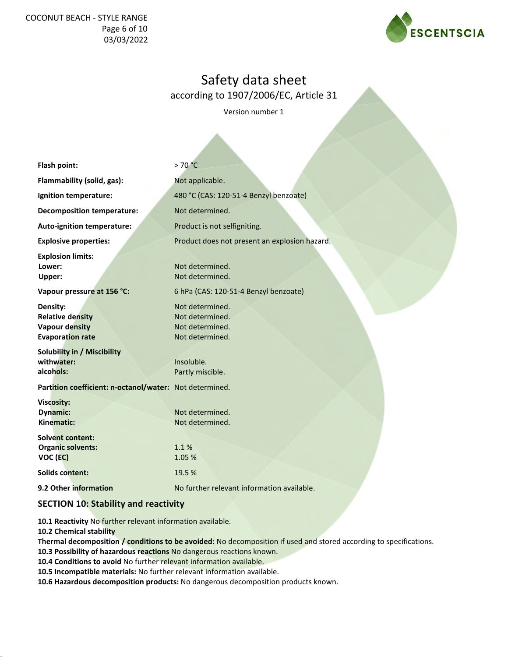## COCONUT BEACH - STYLE RANGE Page 6 of 10 03/03/2022



# Safety data sheet

according to 1907/2006/EC, Article 31

Version number 1

| Flash point:                                                                            | >70 °C                                                                   |
|-----------------------------------------------------------------------------------------|--------------------------------------------------------------------------|
| Flammability (solid, gas):                                                              | Not applicable.                                                          |
| Ignition temperature:                                                                   | 480 °C (CAS: 120-51-4 Benzyl benzoate)                                   |
| <b>Decomposition temperature:</b>                                                       | Not determined.                                                          |
| Auto-ignition temperature:                                                              | Product is not selfigniting.                                             |
| <b>Explosive properties:</b>                                                            | Product does not present an explosion hazard.                            |
| <b>Explosion limits:</b><br>Lower:<br>Upper:                                            | Not determined.<br>Not determined.                                       |
| Vapour pressure at 156 °C:                                                              | 6 hPa (CAS: 120-51-4 Benzyl benzoate)                                    |
| Density:<br><b>Relative density</b><br><b>Vapour density</b><br><b>Evaporation rate</b> | Not determined.<br>Not determined.<br>Not determined.<br>Not determined. |
| <b>Solubility in / Miscibility</b><br>withwater:<br>alcohols:                           | Insoluble.<br>Partly miscible.                                           |
| Partition coefficient: n-octanol/water: Not determined.                                 |                                                                          |
| Viscosity:<br><b>Dynamic:</b><br>Kinematic:                                             | Not determined.<br>Not determined.                                       |
| <b>Solvent content:</b><br><b>Organic solvents:</b><br>VOC (EC)                         | 1.1%<br>1.05 %                                                           |
| <b>Solids content:</b>                                                                  | 19.5 %                                                                   |
| 9.2 Other information                                                                   | No further relevant information available.                               |
|                                                                                         |                                                                          |

## **SECTION 10: Stability and reactivity**

**10.1 Reactivity** No further relevant information available.

**10.2 Chemical stability**

**Thermal decomposition / conditions to be avoided:** No decomposition if used and stored according to specifications.

**10.3 Possibility of hazardous reactions** No dangerous reactions known.

**10.4 Conditions to avoid** No further relevant information available.

**10.5 Incompatible materials:** No further relevant information available.

**10.6 Hazardous decomposition products:** No dangerous decomposition products known.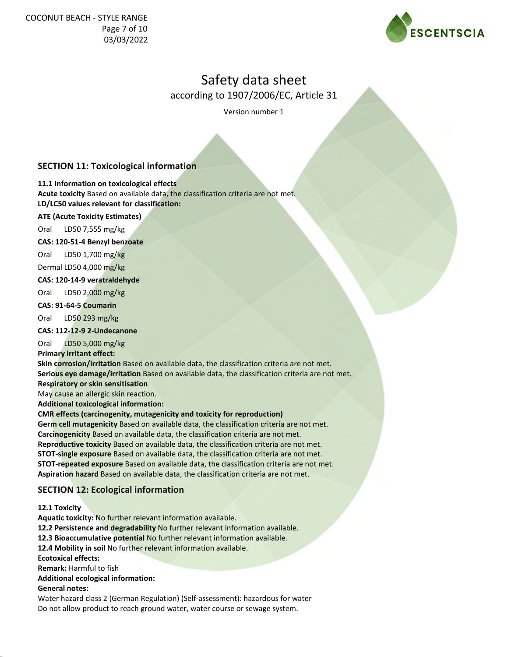

according to 1907/2006/EC, Article 31

Version number 1

## **SECTION 11: Toxicological information**

**11.1 Information on toxicological effects**

**Acute toxicity** Based on available data, the classification criteria are not met. **LD/LC50 values relevant for classification:**

## **ATE (Acute Toxicity Estimates)**

Oral LD50 7,555 mg/kg

## **CAS: 120-51-4 Benzyl benzoate**

Oral LD50 1,700 mg/kg Dermal LD50 4,000 mg/kg

## **CAS: 120-14-9 veratraldehyde**

Oral LD50 2,000 mg/kg

## **CAS: 91-64-5 Coumarin**

Oral LD50 293 mg/kg

## **CAS: 112-12-9 2-Undecanone**

Oral LD50 5,000 mg/kg

## **Primary irritant effect:**

**Skin corrosion/irritation** Based on available data, the classification criteria are not met. **Serious eye damage/irritation** Based on available data, the classification criteria are not met. **Respiratory or skin sensitisation**

May cause an allergic skin reaction.

**Additional toxicological information:**

## **CMR effects (carcinogenity, mutagenicity and toxicity for reproduction)**

**Germ cell mutagenicity** Based on available data, the classification criteria are not met. **Carcinogenicity** Based on available data, the classification criteria are not met. **Reproductive toxicity** Based on available data, the classification criteria are not met. **STOT-single exposure** Based on available data, the classification criteria are not met. **STOT-repeated exposure** Based on available data, the classification criteria are not met. **Aspiration hazard** Based on available data, the classification criteria are not met.

## **SECTION 12: Ecological information**

## **12.1 Toxicity**

**Aquatic toxicity:** No further relevant information available.

**12.2 Persistence and degradability** No further relevant information available.

**12.3 Bioaccumulative potential** No further relevant information available.

**12.4 Mobility in soil** No further relevant information available.

**Ecotoxical effects:**

**Remark:** Harmful to fish

## **Additional ecological information:**

## **General notes:**

Water hazard class 2 (German Regulation) (Self-assessment): hazardous for water Do not allow product to reach ground water, water course or sewage system.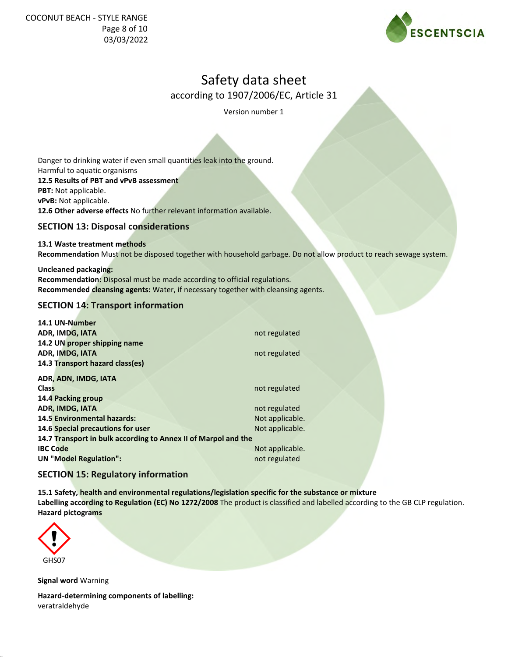COCONUT BEACH - STYLE RANGE Page 8 of 10 03/03/2022



# Safety data sheet

according to 1907/2006/EC, Article 31

Version number 1

Danger to drinking water if even small quantities leak into the ground. Harmful to aquatic organisms **12.5 Results of PBT and vPvB assessment PBT:** Not applicable. **vPvB:** Not applicable. **12.6 Other adverse effects** No further relevant information available.

## **SECTION 13: Disposal considerations**

## **13.1 Waste treatment methods**

**Recommendation** Must not be disposed together with household garbage. Do not allow product to reach sewage system.

**Uncleaned packaging: Recommendation:** Disposal must be made according to official regulations. **Recommended cleansing agents:** Water, if necessary together with cleansing agents.

## **SECTION 14: Transport information**

| 14.1 UN-Number                                                 |                 |
|----------------------------------------------------------------|-----------------|
| ADR, IMDG, IATA                                                | not regulated   |
| 14.2 UN proper shipping name                                   |                 |
| <b>ADR, IMDG, IATA</b>                                         | not regulated   |
| 14.3 Transport hazard class(es)                                |                 |
| ADR, ADN, IMDG, IATA                                           |                 |
| Class                                                          | not regulated   |
| 14.4 Packing group                                             |                 |
| <b>ADR, IMDG, IATA</b>                                         | not regulated   |
| <b>14.5 Environmental hazards:</b>                             | Not applicable. |
| 14.6 Special precautions for user                              | Not applicable. |
| 14.7 Transport in bulk according to Annex II of Marpol and the |                 |
| <b>IBC Code</b>                                                | Not applicable. |
| <b>UN</b> "Model Regulation":                                  | not regulated   |

## **SECTION 15: Regulatory information**

**15.1 Safety, health and environmental regulations/legislation specific for the substance or mixture Labelling according to Regulation (EC) No 1272/2008** The product is classified and labelled according to the GB CLP regulation. **Hazard pictograms**



**Signal word** Warning

**Hazard-determining components of labelling:** veratraldehyde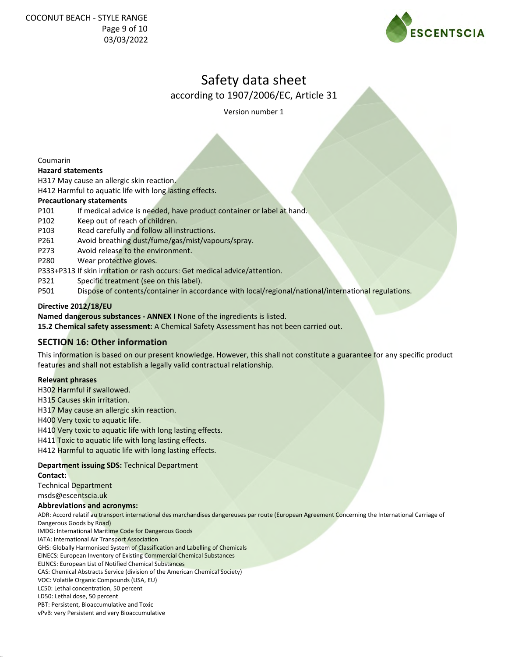

according to 1907/2006/EC, Article 31

Version number 1

Coumarin

#### **Hazard statements**

H317 May cause an allergic skin reaction.

H412 Harmful to aquatic life with long lasting effects.

#### **Precautionary statements**

- P101 If medical advice is needed, have product container or label at hand.
- P102 Keep out of reach of children.
- P103 Read carefully and follow all instructions.
- P261 Avoid breathing dust/fume/gas/mist/vapours/spray.
- P273 Avoid release to the environment.
- P280 Wear protective gloves.
- P333+P313 If skin irritation or rash occurs: Get medical advice/attention.
- P321 Specific treatment (see on this label).
- P501 Dispose of contents/container in accordance with local/regional/national/international regulations.

#### **Directive 2012/18/EU**

**Named dangerous substances - ANNEX I** None of the ingredients is listed.

**15.2 Chemical safety assessment:** A Chemical Safety Assessment has not been carried out.

## **SECTION 16: Other information**

This information is based on our present knowledge. However, this shall not constitute a guarantee for any specific product features and shall not establish a legally valid contractual relationship.

#### **Relevant phrases**

H302 Harmful if swallowed.

H315 Causes skin irritation.

H317 May cause an allergic skin reaction.

H400 Very toxic to aquatic life.

H410 Very toxic to aquatic life with long lasting effects.

H411 Toxic to aquatic life with long lasting effects.

H412 Harmful to aquatic life with long lasting effects.

## **Department issuing SDS:** Technical Department

#### **Contact:**

Technical Department

msds@escentscia.uk

#### **Abbreviations and acronyms:**

ADR: Accord relatif au transport international des marchandises dangereuses par route (European Agreement Concerning the International Carriage of Dangerous Goods by Road)

IMDG: International Maritime Code for Dangerous Goods

IATA: International Air Transport Association

GHS: Globally Harmonised System of Classification and Labelling of Chemicals

EINECS: European Inventory of Existing Commercial Chemical Substances

ELINCS: European List of Notified Chemical Substances

CAS: Chemical Abstracts Service (division of the American Chemical Society)

VOC: Volatile Organic Compounds (USA, EU)

LC50: Lethal concentration, 50 percent LD50: Lethal dose, 50 percent

PBT: Persistent, Bioaccumulative and Toxic

vPvB: very Persistent and very Bioaccumulative